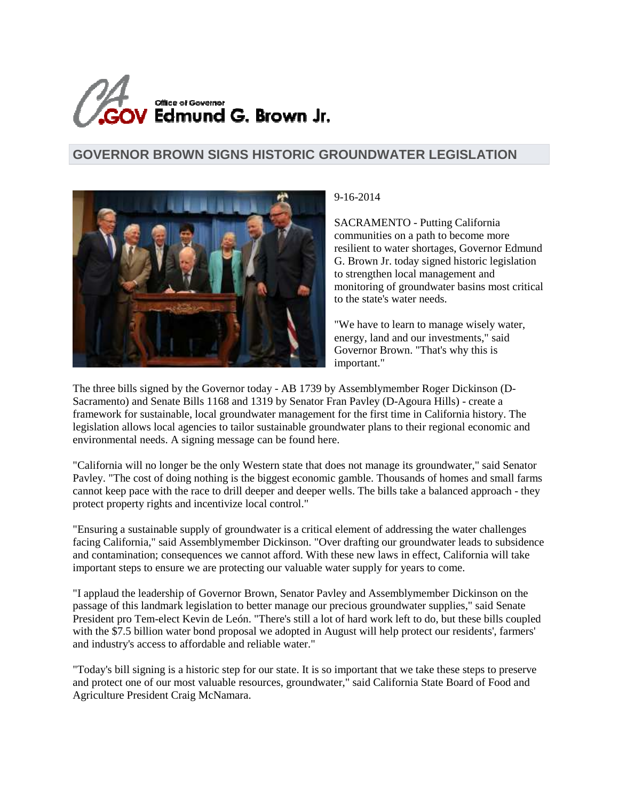

## **GOVERNOR BROWN SIGNS HISTORIC GROUNDWATER LEGISLATION**



## 9-16-2014

SACRAMENTO - Putting California communities on a path to become more resilient to water shortages, Governor Edmund G. Brown Jr. today signed historic legislation to strengthen local management and monitoring of groundwater basins most critical to the state's water needs.

"We have to learn to manage wisely water, energy, land and our investments," said Governor Brown. "That's why this is important."

The three bills signed by the Governor today - AB 1739 by Assemblymember Roger Dickinson (D-Sacramento) and Senate Bills 1168 and 1319 by Senator Fran Pavley (D-Agoura Hills) - create a framework for sustainable, local groundwater management for the first time in California history. The legislation allows local agencies to tailor sustainable groundwater plans to their regional economic and environmental needs. A signing message can be found here.

"California will no longer be the only Western state that does not manage its groundwater," said Senator Pavley. "The cost of doing nothing is the biggest economic gamble. Thousands of homes and small farms cannot keep pace with the race to drill deeper and deeper wells. The bills take a balanced approach - they protect property rights and incentivize local control."

"Ensuring a sustainable supply of groundwater is a critical element of addressing the water challenges facing California," said Assemblymember Dickinson. "Over drafting our groundwater leads to subsidence and contamination; consequences we cannot afford. With these new laws in effect, California will take important steps to ensure we are protecting our valuable water supply for years to come.

"I applaud the leadership of Governor Brown, Senator Pavley and Assemblymember Dickinson on the passage of this landmark legislation to better manage our precious groundwater supplies," said Senate President pro Tem-elect Kevin de León. "There's still a lot of hard work left to do, but these bills coupled with the \$7.5 billion water bond proposal we adopted in August will help protect our residents', farmers' and industry's access to affordable and reliable water."

"Today's bill signing is a historic step for our state. It is so important that we take these steps to preserve and protect one of our most valuable resources, groundwater," said California State Board of Food and Agriculture President Craig McNamara.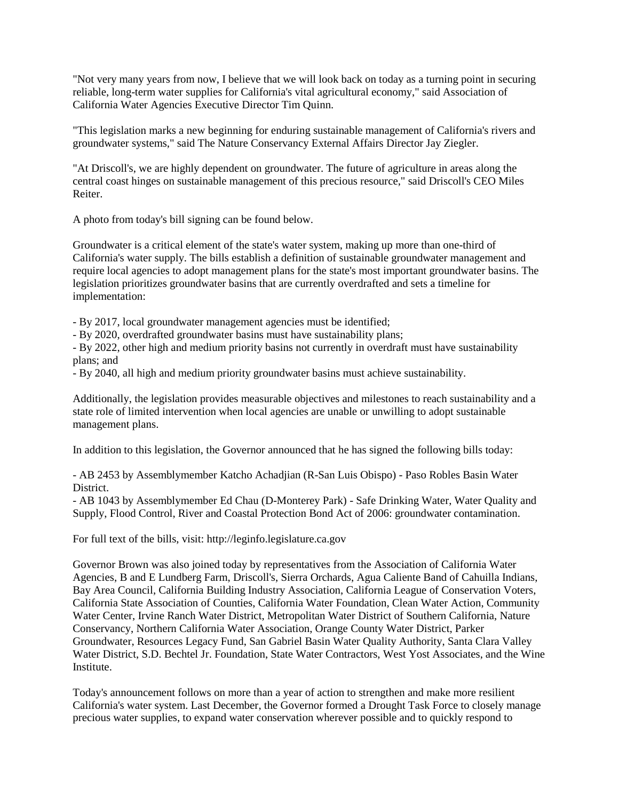"Not very many years from now, I believe that we will look back on today as a turning point in securing reliable, long-term water supplies for California's vital agricultural economy," said Association of California Water Agencies Executive Director Tim Quinn.

"This legislation marks a new beginning for enduring sustainable management of California's rivers and groundwater systems," said The Nature Conservancy External Affairs Director Jay Ziegler.

"At Driscoll's, we are highly dependent on groundwater. The future of agriculture in areas along the central coast hinges on sustainable management of this precious resource," said Driscoll's CEO Miles Reiter.

A photo from today's bill signing can be found below.

Groundwater is a critical element of the state's water system, making up more than one-third of California's water supply. The bills establish a definition of sustainable groundwater management and require local agencies to adopt management plans for the state's most important groundwater basins. The legislation prioritizes groundwater basins that are currently overdrafted and sets a timeline for implementation:

- By 2017, local groundwater management agencies must be identified;

- By 2020, overdrafted groundwater basins must have sustainability plans;

- By 2022, other high and medium priority basins not currently in overdraft must have sustainability plans; and

- By 2040, all high and medium priority groundwater basins must achieve sustainability.

Additionally, the legislation provides measurable objectives and milestones to reach sustainability and a state role of limited intervention when local agencies are unable or unwilling to adopt sustainable management plans.

In addition to this legislation, the Governor announced that he has signed the following bills today:

- AB 2453 by Assemblymember Katcho Achadjian (R-San Luis Obispo) - Paso Robles Basin Water District.

- AB 1043 by Assemblymember Ed Chau (D-Monterey Park) - Safe Drinking Water, Water Quality and Supply, Flood Control, River and Coastal Protection Bond Act of 2006: groundwater contamination.

For full text of the bills, visit: http://leginfo.legislature.ca.gov

Governor Brown was also joined today by representatives from the Association of California Water Agencies, B and E Lundberg Farm, Driscoll's, Sierra Orchards, Agua Caliente Band of Cahuilla Indians, Bay Area Council, California Building Industry Association, California League of Conservation Voters, California State Association of Counties, California Water Foundation, Clean Water Action, Community Water Center, Irvine Ranch Water District, Metropolitan Water District of Southern California, Nature Conservancy, Northern California Water Association, Orange County Water District, Parker Groundwater, Resources Legacy Fund, San Gabriel Basin Water Quality Authority, Santa Clara Valley Water District, S.D. Bechtel Jr. Foundation, State Water Contractors, West Yost Associates, and the Wine Institute.

Today's announcement follows on more than a year of action to strengthen and make more resilient California's water system. Last December, the Governor formed a Drought Task Force to closely manage precious water supplies, to expand water conservation wherever possible and to quickly respond to